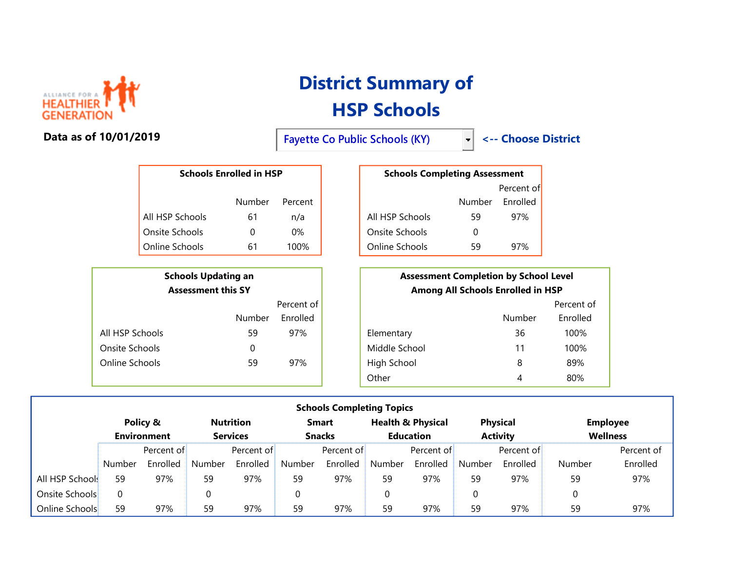

## Data as of 10/01/2019

## District Summary of HSP Schools

Fayette Co Public Schools (KY) Fayette Co Public Schools (KY) <-- Choose District

|                 | <b>Schools Enrolled in HSP</b> |         | <b>Schools Completing Assessment</b> |        |         |
|-----------------|--------------------------------|---------|--------------------------------------|--------|---------|
|                 |                                |         |                                      |        | Percent |
|                 | Number                         | Percent |                                      | Number | Enrolle |
| All HSP Schools | 61                             | n/a     | All HSP Schools                      | 59     | 97%     |
| Onsite Schools  |                                | 0%      | Onsite Schools                       | O      |         |
| Online Schools  | 61                             | 100%    | Online Schools                       | 59     | 97%     |

|                 | <b>Schools Updating an</b><br><b>Assessment this SY</b> |            |               | <b>Assessment Completion by School Level</b><br>Among All Schools Enrolled in HSP |         |
|-----------------|---------------------------------------------------------|------------|---------------|-----------------------------------------------------------------------------------|---------|
|                 |                                                         | Percent of |               |                                                                                   | Percent |
|                 | Number                                                  | Enrolled   |               | Number                                                                            | Enrolle |
| All HSP Schools | 59                                                      | 97%        | Elementary    | 36                                                                                | 100%    |
| Onsite Schools  | 0                                                       |            | Middle School | 11                                                                                | 100%    |
| Online Schools  | 59                                                      | 97%        | High School   | 8                                                                                 | 89%     |
|                 |                                                         |            | Other         | 4                                                                                 | 80%     |

| Schools Enrolled in HSP |         |  |                 |        |                                      |  |
|-------------------------|---------|--|-----------------|--------|--------------------------------------|--|
|                         |         |  |                 |        | Percent of                           |  |
| Number                  | Percent |  |                 | Number | Enrolled                             |  |
| 61                      | n/a     |  | All HSP Schools | 59     | 97%                                  |  |
|                         | $0\%$   |  | Onsite Schools  |        |                                      |  |
| 61                      | 100%    |  | Online Schools  | 59     | 97%                                  |  |
|                         |         |  |                 |        | <b>Schools Completing Assessment</b> |  |

|                 | <b>Schools Updating an</b><br><b>Assessment this SY</b> |          |               | <b>Assessment Completion by School Level</b><br>Among All Schools Enrolled in HSP |            |
|-----------------|---------------------------------------------------------|----------|---------------|-----------------------------------------------------------------------------------|------------|
|                 | Percent of                                              |          |               |                                                                                   | Percent of |
|                 | Number                                                  | Enrolled |               | Number                                                                            | Enrolled   |
| All HSP Schools | 59                                                      | 97%      | Elementary    | 36                                                                                | 100%       |
| Onsite Schools  | 0                                                       |          | Middle School | 11                                                                                | 100%       |
| Online Schools  | 59                                                      | 97%      | High School   | 8                                                                                 | 89%        |
|                 |                                                         |          | Other         | 4                                                                                 | 80%        |

| <b>Schools Completing Topics</b> |                                |            |                  |                 |        |                               |        |                                                  |        |                 |                             |            |
|----------------------------------|--------------------------------|------------|------------------|-----------------|--------|-------------------------------|--------|--------------------------------------------------|--------|-----------------|-----------------------------|------------|
|                                  | Policy &<br><b>Environment</b> |            | <b>Nutrition</b> |                 |        | <b>Smart</b><br><b>Snacks</b> |        | <b>Health &amp; Physical</b><br><b>Education</b> |        | <b>Physical</b> | <b>Employee</b><br>Wellness |            |
|                                  |                                |            |                  | <b>Services</b> |        |                               |        |                                                  |        | <b>Activity</b> |                             |            |
|                                  |                                | Percent of |                  | Percent of      |        | Percent of                    |        | Percent of                                       |        | Percent of      |                             | Percent of |
|                                  | Number                         | Enrolled   | Number           | Enrolled        | Number | Enrolled                      | Number | Enrolled                                         | Number | Enrolled        | Number                      | Enrolled   |
| All HSP Schools                  | 59                             | 97%        | 59               | 97%             | 59     | 97%                           | 59     | 97%                                              | 59     | 97%             | 59                          | 97%        |
| Onsite Schools                   | 0                              |            | 0                |                 |        |                               |        |                                                  | 0      |                 |                             |            |
| Online Schools                   | 59                             | 97%        | 59               | 97%             | 59     | 97%                           | 59     | 97%                                              | 59     | 97%             | 59                          | 97%        |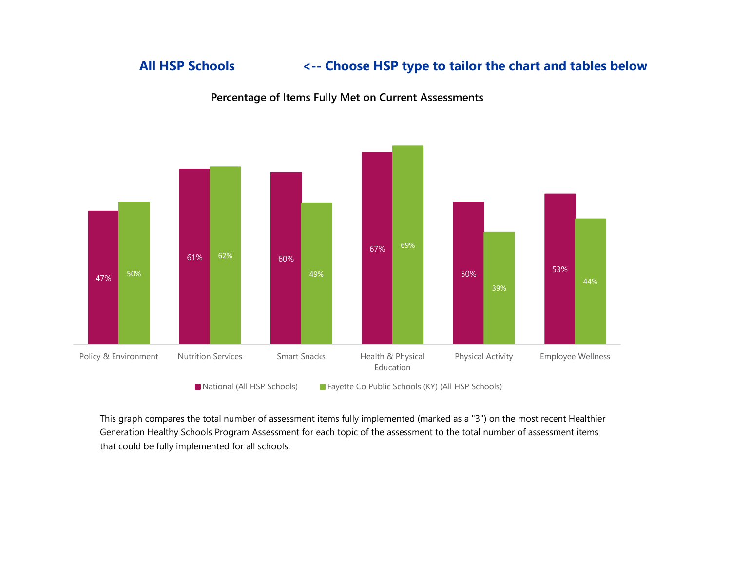## All HSP Schools <-- Choose HSP type to tailor the chart and tables below



Percentage of Items Fully Met on Current Assessments

■ National (All HSP Schools) Fayette Co Public Schools (KY) (All HSP Schools)

This graph compares the total number of assessment items fully implemented (marked as a "3") on the most recent Healthier Generation Healthy Schools Program Assessment for each topic of the assessment to the total number of assessment items that could be fully implemented for all schools.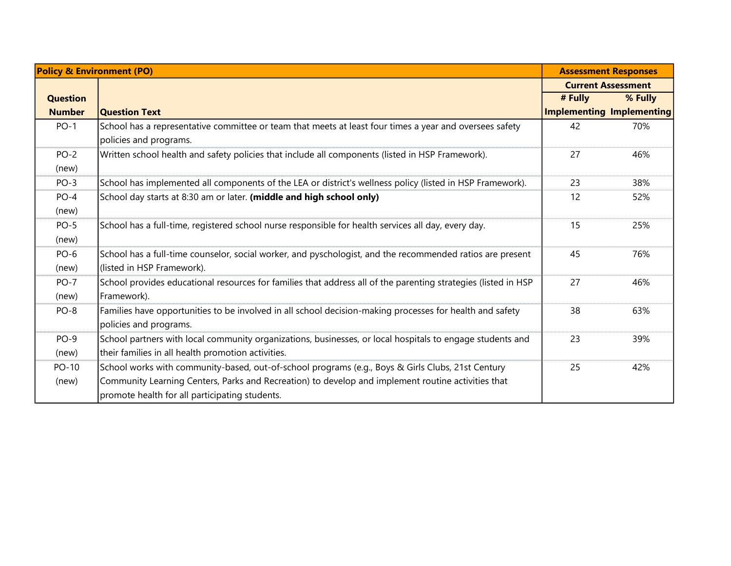| <b>Policy &amp; Environment (PO)</b> |                                                                                                                                                                                                                                                           | <b>Assessment Responses</b> |                                  |
|--------------------------------------|-----------------------------------------------------------------------------------------------------------------------------------------------------------------------------------------------------------------------------------------------------------|-----------------------------|----------------------------------|
|                                      |                                                                                                                                                                                                                                                           |                             | <b>Current Assessment</b>        |
| <b>Question</b>                      |                                                                                                                                                                                                                                                           | # Fully                     | % Fully                          |
| <b>Number</b>                        | <b>Question Text</b>                                                                                                                                                                                                                                      |                             | <b>Implementing Implementing</b> |
| $PO-1$                               | School has a representative committee or team that meets at least four times a year and oversees safety<br>policies and programs.                                                                                                                         | 42                          | 70%                              |
| $PO-2$<br>(new)                      | Written school health and safety policies that include all components (listed in HSP Framework).                                                                                                                                                          | 27                          | 46%                              |
| $PO-3$                               | School has implemented all components of the LEA or district's wellness policy (listed in HSP Framework).                                                                                                                                                 | 23                          | 38%                              |
| $PO-4$<br>(new)                      | School day starts at 8:30 am or later. (middle and high school only)                                                                                                                                                                                      | 12                          | 52%                              |
| $PO-5$<br>(new)                      | School has a full-time, registered school nurse responsible for health services all day, every day.                                                                                                                                                       | 15                          | 25%                              |
| $PO-6$<br>(new)                      | School has a full-time counselor, social worker, and pyschologist, and the recommended ratios are present<br>(listed in HSP Framework).                                                                                                                   | 45                          | 76%                              |
| $PO-7$<br>(new)                      | School provides educational resources for families that address all of the parenting strategies (listed in HSP<br>Framework).                                                                                                                             | 27                          | 46%                              |
| $PO-8$                               | Families have opportunities to be involved in all school decision-making processes for health and safety<br>policies and programs.                                                                                                                        | 38                          | 63%                              |
| PO-9<br>(new)                        | School partners with local community organizations, businesses, or local hospitals to engage students and<br>their families in all health promotion activities.                                                                                           | 23                          | 39%                              |
| PO-10<br>(new)                       | School works with community-based, out-of-school programs (e.g., Boys & Girls Clubs, 21st Century<br>Community Learning Centers, Parks and Recreation) to develop and implement routine activities that<br>promote health for all participating students. | 25                          | 42%                              |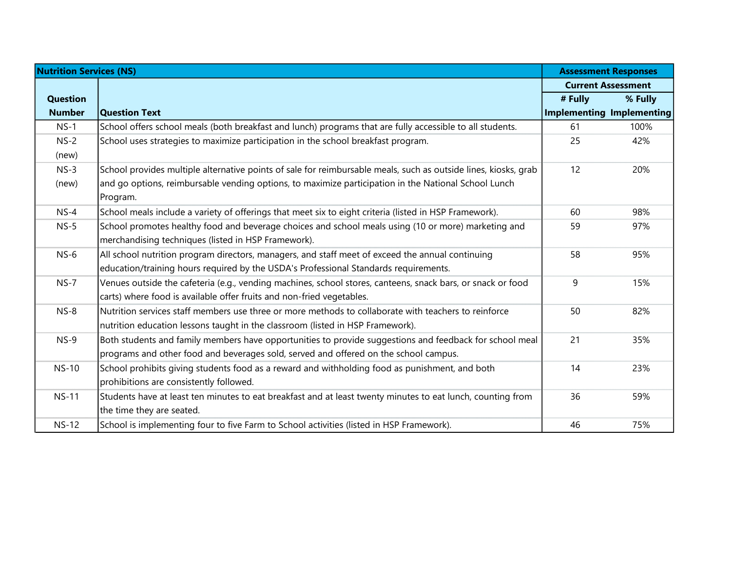| <b>Nutrition Services (NS)</b> |                                                                                                                 | <b>Assessment Responses</b> |                                  |
|--------------------------------|-----------------------------------------------------------------------------------------------------------------|-----------------------------|----------------------------------|
|                                |                                                                                                                 |                             | <b>Current Assessment</b>        |
| <b>Question</b>                |                                                                                                                 | # Fully                     | % Fully                          |
| <b>Number</b>                  | Question Text                                                                                                   |                             | <b>Implementing Implementing</b> |
| $NS-1$                         | School offers school meals (both breakfast and lunch) programs that are fully accessible to all students.       | 61                          | 100%                             |
| $NS-2$                         | School uses strategies to maximize participation in the school breakfast program.                               | 25                          | 42%                              |
| (new)                          |                                                                                                                 |                             |                                  |
| $NS-3$                         | School provides multiple alternative points of sale for reimbursable meals, such as outside lines, kiosks, grab | 12                          | 20%                              |
| (new)                          | and go options, reimbursable vending options, to maximize participation in the National School Lunch            |                             |                                  |
|                                | Program.                                                                                                        |                             |                                  |
| $NS-4$                         | School meals include a variety of offerings that meet six to eight criteria (listed in HSP Framework).          | 60                          | 98%                              |
| $NS-5$                         | School promotes healthy food and beverage choices and school meals using (10 or more) marketing and             | 59                          | 97%                              |
|                                | merchandising techniques (listed in HSP Framework).                                                             |                             |                                  |
| $NS-6$                         | All school nutrition program directors, managers, and staff meet of exceed the annual continuing                | 58                          | 95%                              |
|                                | education/training hours required by the USDA's Professional Standards requirements.                            |                             |                                  |
| $NS-7$                         | Venues outside the cafeteria (e.g., vending machines, school stores, canteens, snack bars, or snack or food     | 9                           | 15%                              |
|                                | carts) where food is available offer fruits and non-fried vegetables.                                           |                             |                                  |
| $NS-8$                         | Nutrition services staff members use three or more methods to collaborate with teachers to reinforce            | 50                          | 82%                              |
|                                | nutrition education lessons taught in the classroom (listed in HSP Framework).                                  |                             |                                  |
| $NS-9$                         | Both students and family members have opportunities to provide suggestions and feedback for school meal         | 21                          | 35%                              |
|                                | programs and other food and beverages sold, served and offered on the school campus.                            |                             |                                  |
| <b>NS-10</b>                   | School prohibits giving students food as a reward and withholding food as punishment, and both                  | 14                          | 23%                              |
|                                | prohibitions are consistently followed.                                                                         |                             |                                  |
| <b>NS-11</b>                   | Students have at least ten minutes to eat breakfast and at least twenty minutes to eat lunch, counting from     | 36                          | 59%                              |
|                                | the time they are seated.                                                                                       |                             |                                  |
| <b>NS-12</b>                   | School is implementing four to five Farm to School activities (listed in HSP Framework).                        | 46                          | 75%                              |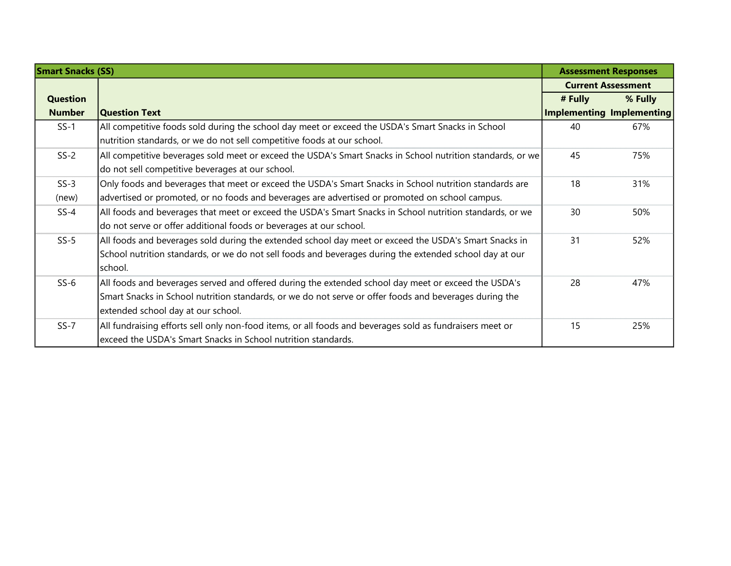| <b>Smart Snacks (SS)</b> |                                                                                                            | <b>Assessment Responses</b> |                                  |
|--------------------------|------------------------------------------------------------------------------------------------------------|-----------------------------|----------------------------------|
|                          |                                                                                                            |                             | <b>Current Assessment</b>        |
| <b>Question</b>          |                                                                                                            | # Fully                     | % Fully                          |
| <b>Number</b>            | <b>Question Text</b>                                                                                       |                             | <b>Implementing Implementing</b> |
| $SS-1$                   | All competitive foods sold during the school day meet or exceed the USDA's Smart Snacks in School          | 40                          | 67%                              |
|                          | nutrition standards, or we do not sell competitive foods at our school.                                    |                             |                                  |
| $SS-2$                   | All competitive beverages sold meet or exceed the USDA's Smart Snacks in School nutrition standards, or we | 45                          | 75%                              |
|                          | do not sell competitive beverages at our school.                                                           |                             |                                  |
| $SS-3$                   | Only foods and beverages that meet or exceed the USDA's Smart Snacks in School nutrition standards are     | 18                          | 31%                              |
| (new)                    | advertised or promoted, or no foods and beverages are advertised or promoted on school campus.             |                             |                                  |
| $SS-4$                   | All foods and beverages that meet or exceed the USDA's Smart Snacks in School nutrition standards, or we   | 30                          | 50%                              |
|                          | do not serve or offer additional foods or beverages at our school.                                         |                             |                                  |
| $SS-5$                   | All foods and beverages sold during the extended school day meet or exceed the USDA's Smart Snacks in      | 31                          | 52%                              |
|                          | School nutrition standards, or we do not sell foods and beverages during the extended school day at our    |                             |                                  |
|                          | school.                                                                                                    |                             |                                  |
| $SS-6$                   | All foods and beverages served and offered during the extended school day meet or exceed the USDA's        | 28                          | 47%                              |
|                          | Smart Snacks in School nutrition standards, or we do not serve or offer foods and beverages during the     |                             |                                  |
|                          | extended school day at our school.                                                                         |                             |                                  |
| $SS-7$                   | All fundraising efforts sell only non-food items, or all foods and beverages sold as fundraisers meet or   | 15                          | 25%                              |
|                          | exceed the USDA's Smart Snacks in School nutrition standards.                                              |                             |                                  |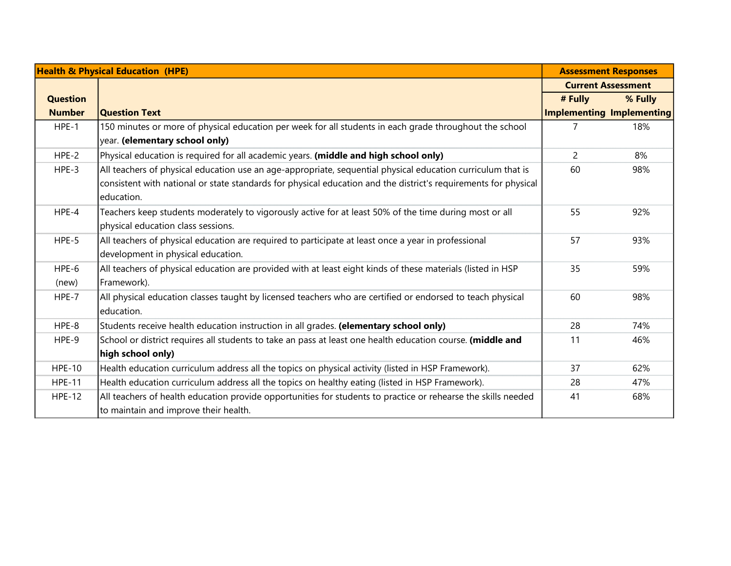| <b>Health &amp; Physical Education (HPE)</b> |                                                                                                                                                        | <b>Assessment Responses</b> |                                  |
|----------------------------------------------|--------------------------------------------------------------------------------------------------------------------------------------------------------|-----------------------------|----------------------------------|
|                                              |                                                                                                                                                        |                             | <b>Current Assessment</b>        |
| <b>Question</b>                              |                                                                                                                                                        | # Fully                     | % Fully                          |
| <b>Number</b>                                | <b>Question Text</b>                                                                                                                                   |                             | <b>Implementing Implementing</b> |
| $HPE-1$                                      | 150 minutes or more of physical education per week for all students in each grade throughout the school<br>year. (elementary school only)              |                             | 18%                              |
| HPE-2                                        | Physical education is required for all academic years. (middle and high school only)                                                                   | 2                           | 8%                               |
| HPE-3                                        | All teachers of physical education use an age-appropriate, sequential physical education curriculum that is                                            | 60                          | 98%                              |
|                                              | consistent with national or state standards for physical education and the district's requirements for physical<br>education.                          |                             |                                  |
| HPE-4                                        | Teachers keep students moderately to vigorously active for at least 50% of the time during most or all                                                 | 55                          | 92%                              |
|                                              | physical education class sessions.                                                                                                                     |                             |                                  |
| HPE-5                                        | All teachers of physical education are required to participate at least once a year in professional<br>development in physical education.              | 57                          | 93%                              |
| $HPE-6$                                      | All teachers of physical education are provided with at least eight kinds of these materials (listed in HSP                                            | 35                          | 59%                              |
| (new)                                        | Framework).                                                                                                                                            |                             |                                  |
| HPE-7                                        | All physical education classes taught by licensed teachers who are certified or endorsed to teach physical<br>education.                               | 60                          | 98%                              |
| HPE-8                                        | Students receive health education instruction in all grades. (elementary school only)                                                                  | 28                          | 74%                              |
| HPE-9                                        | School or district requires all students to take an pass at least one health education course. (middle and                                             | 11                          | 46%                              |
|                                              | high school only)                                                                                                                                      |                             |                                  |
| <b>HPE-10</b>                                | Health education curriculum address all the topics on physical activity (listed in HSP Framework).                                                     | 37                          | 62%                              |
| <b>HPE-11</b>                                | Health education curriculum address all the topics on healthy eating (listed in HSP Framework).                                                        | 28                          | 47%                              |
| <b>HPE-12</b>                                | All teachers of health education provide opportunities for students to practice or rehearse the skills needed<br>to maintain and improve their health. | 41                          | 68%                              |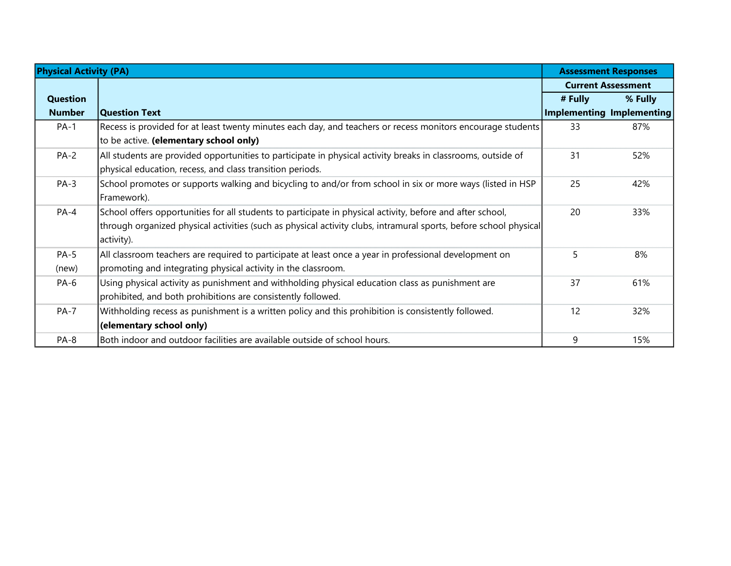| <b>Physical Activity (PA)</b> |                                                                                                                   | <b>Assessment Responses</b>      |                           |
|-------------------------------|-------------------------------------------------------------------------------------------------------------------|----------------------------------|---------------------------|
|                               |                                                                                                                   |                                  | <b>Current Assessment</b> |
| Question                      |                                                                                                                   | # Fully                          | % Fully                   |
| <b>Number</b>                 | Question Text                                                                                                     | <b>Implementing Implementing</b> |                           |
| $PA-1$                        | Recess is provided for at least twenty minutes each day, and teachers or recess monitors encourage students       | 33                               | 87%                       |
|                               | to be active. (elementary school only)                                                                            |                                  |                           |
| $PA-2$                        | All students are provided opportunities to participate in physical activity breaks in classrooms, outside of      | 31                               | 52%                       |
|                               | physical education, recess, and class transition periods.                                                         |                                  |                           |
| $PA-3$                        | School promotes or supports walking and bicycling to and/or from school in six or more ways (listed in HSP        | 25                               | 42%                       |
|                               | Framework).                                                                                                       |                                  |                           |
| $PA-4$                        | School offers opportunities for all students to participate in physical activity, before and after school,        | 20                               | 33%                       |
|                               | through organized physical activities (such as physical activity clubs, intramural sports, before school physical |                                  |                           |
|                               | activity).                                                                                                        |                                  |                           |
| $PA-5$                        | All classroom teachers are required to participate at least once a year in professional development on            | 5                                | 8%                        |
| (new)                         | promoting and integrating physical activity in the classroom.                                                     |                                  |                           |
| PA-6                          | Using physical activity as punishment and withholding physical education class as punishment are                  | 37                               | 61%                       |
|                               | prohibited, and both prohibitions are consistently followed.                                                      |                                  |                           |
| $PA-7$                        | Withholding recess as punishment is a written policy and this prohibition is consistently followed.               | 12                               | 32%                       |
|                               | (elementary school only)                                                                                          |                                  |                           |
| PA-8                          | Both indoor and outdoor facilities are available outside of school hours.                                         | 9                                | 15%                       |